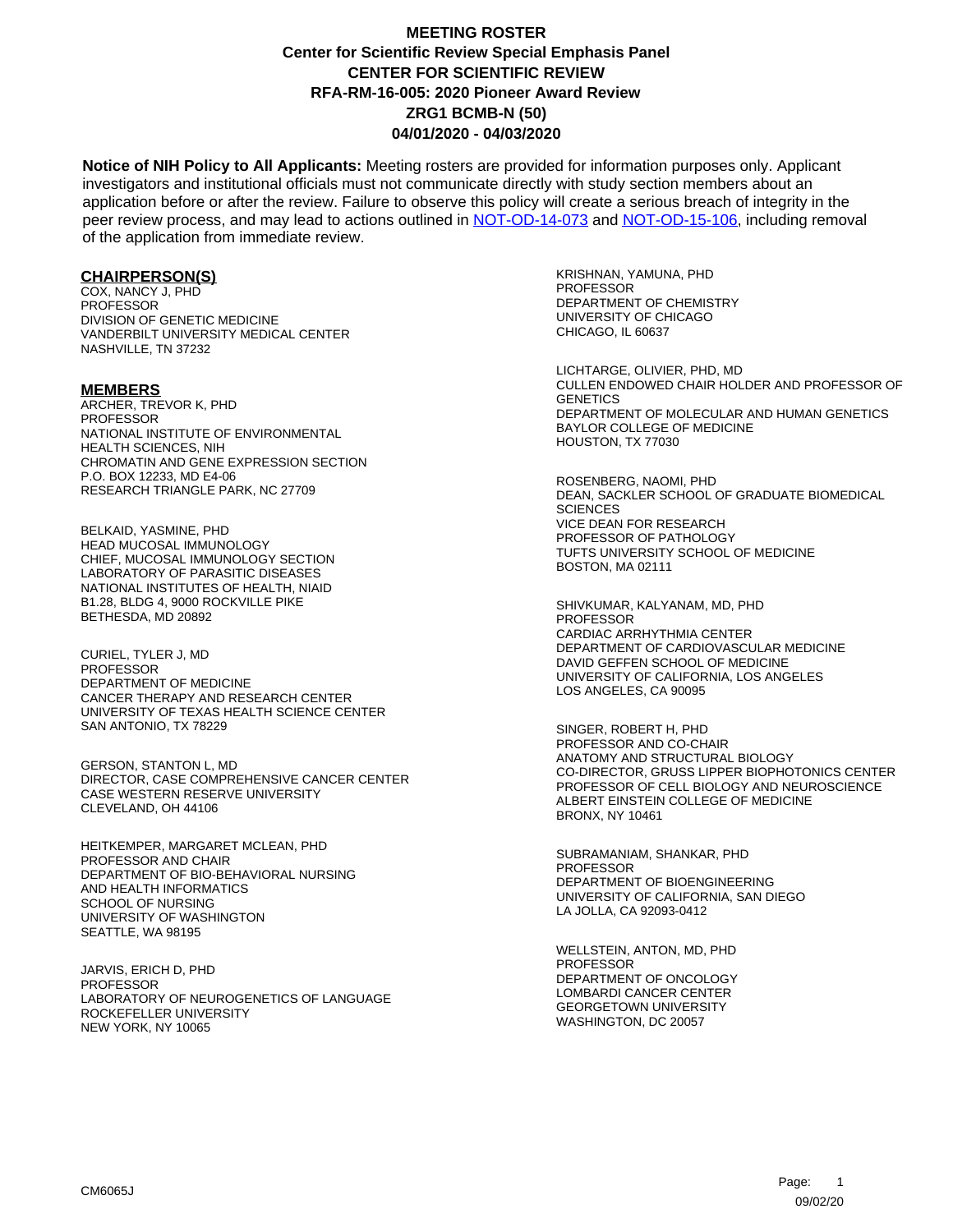**Notice of NIH Policy to All Applicants:** Meeting rosters are provided for information purposes only. Applicant investigators and institutional officials must not communicate directly with study section members about an application before or after the review. Failure to observe this policy will create a serious breach of integrity in the peer review process, and may lead to actions outlined in [NOT-OD-14-073](https://grants.nih.gov/grants/guide/notice-files/NOT-OD-14-073.html) and [NOT-OD-15-106,](https://grants.nih.gov/grants/guide/notice-files/NOT-OD-15-106.html) including removal of the application from immediate review.

#### **CHAIRPERSON(S)**

COX, NANCY J, PHD PROFESSOR DIVISION OF GENETIC MEDICINE VANDERBILT UNIVERSITY MEDICAL CENTER NASHVILLE, TN 37232

#### **MEMBERS**

ARCHER, TREVOR K, PHD PROFESSOR NATIONAL INSTITUTE OF ENVIRONMENTAL HEALTH SCIENCES, NIH CHROMATIN AND GENE EXPRESSION SECTION P.O. BOX 12233, MD E4-06 RESEARCH TRIANGLE PARK, NC 27709

BELKAID, YASMINE, PHD HEAD MUCOSAL IMMUNOLOGY CHIEF, MUCOSAL IMMUNOLOGY SECTION LABORATORY OF PARASITIC DISEASES NATIONAL INSTITUTES OF HEALTH, NIAID B1.28, BLDG 4, 9000 ROCKVILLE PIKE BETHESDA, MD 20892

CURIEL, TYLER J, MD PROFESSOR DEPARTMENT OF MEDICINE CANCER THERAPY AND RESEARCH CENTER UNIVERSITY OF TEXAS HEALTH SCIENCE CENTER SAN ANTONIO, TX 78229

GERSON, STANTON L, MD DIRECTOR, CASE COMPREHENSIVE CANCER CENTER CASE WESTERN RESERVE UNIVERSITY CLEVELAND, OH 44106

HEITKEMPER, MARGARET MCLEAN, PHD PROFESSOR AND CHAIR DEPARTMENT OF BIO-BEHAVIORAL NURSING AND HEALTH INFORMATICS SCHOOL OF NURSING UNIVERSITY OF WASHINGTON SEATTLE, WA 98195

JARVIS, ERICH D, PHD PROFESSOR LABORATORY OF NEUROGENETICS OF LANGUAGE ROCKEFELLER UNIVERSITY NEW YORK, NY 10065

KRISHNAN, YAMUNA, PHD PROFESSOR DEPARTMENT OF CHEMISTRY UNIVERSITY OF CHICAGO CHICAGO, IL 60637

LICHTARGE, OLIVIER, PHD, MD CULLEN ENDOWED CHAIR HOLDER AND PROFESSOR OF **GENETICS** DEPARTMENT OF MOLECULAR AND HUMAN GENETICS BAYLOR COLLEGE OF MEDICINE HOUSTON, TX 77030

ROSENBERG, NAOMI, PHD DEAN, SACKLER SCHOOL OF GRADUATE BIOMEDICAL **SCIENCES** VICE DEAN FOR RESEARCH PROFESSOR OF PATHOLOGY TUFTS UNIVERSITY SCHOOL OF MEDICINE BOSTON, MA 02111

SHIVKUMAR, KALYANAM, MD, PHD PROFESSOR CARDIAC ARRHYTHMIA CENTER DEPARTMENT OF CARDIOVASCULAR MEDICINE DAVID GEFFEN SCHOOL OF MEDICINE UNIVERSITY OF CALIFORNIA, LOS ANGELES LOS ANGELES, CA 90095

SINGER, ROBERT H, PHD PROFESSOR AND CO-CHAIR ANATOMY AND STRUCTURAL BIOLOGY CO-DIRECTOR, GRUSS LIPPER BIOPHOTONICS CENTER PROFESSOR OF CELL BIOLOGY AND NEUROSCIENCE ALBERT EINSTEIN COLLEGE OF MEDICINE BRONX, NY 10461

SUBRAMANIAM, SHANKAR, PHD PROFESSOR DEPARTMENT OF BIOENGINEERING UNIVERSITY OF CALIFORNIA, SAN DIEGO LA JOLLA, CA 92093-0412

WELLSTEIN, ANTON, MD, PHD PROFESSOR DEPARTMENT OF ONCOLOGY LOMBARDI CANCER CENTER GEORGETOWN UNIVERSITY WASHINGTON, DC 20057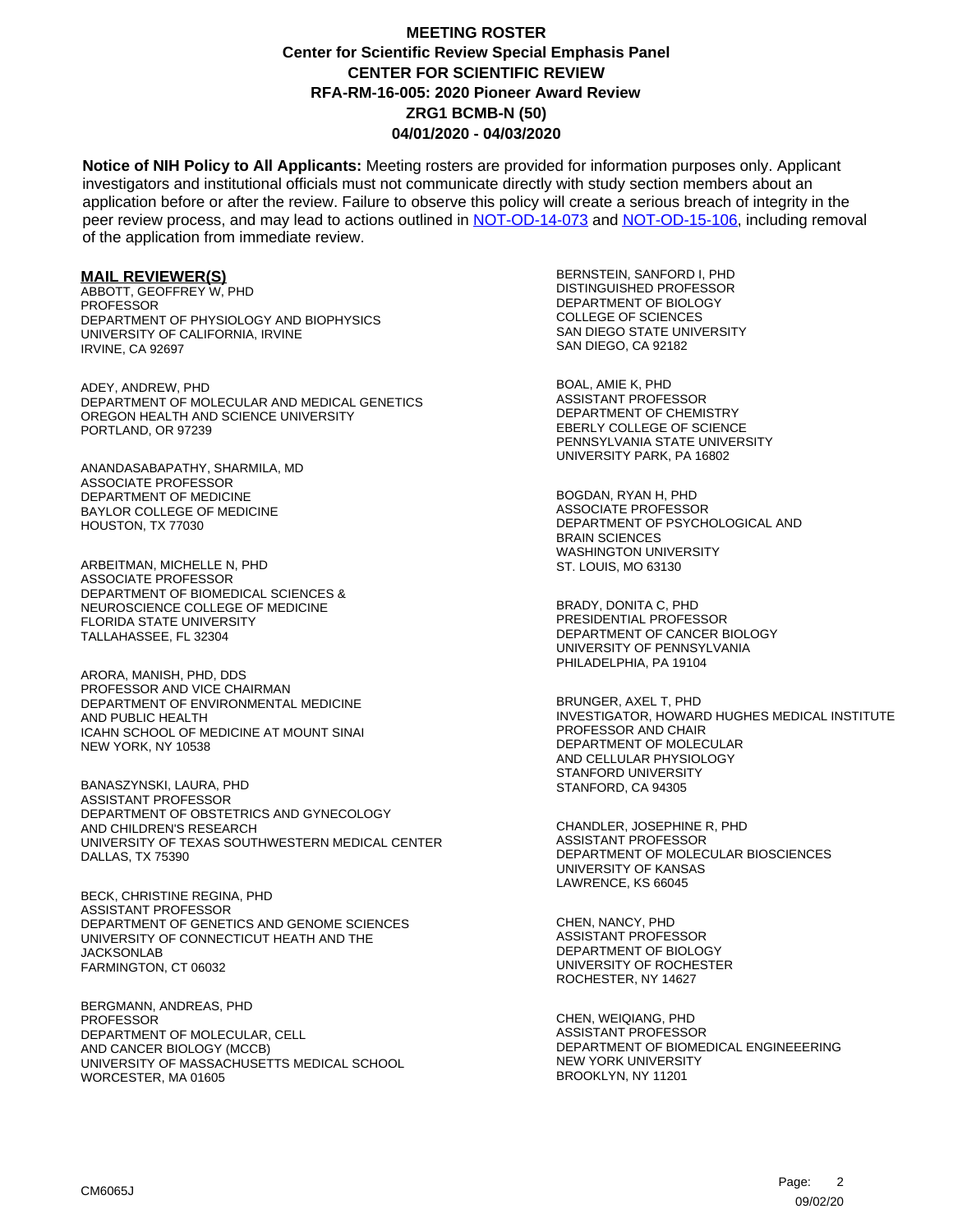**Notice of NIH Policy to All Applicants:** Meeting rosters are provided for information purposes only. Applicant investigators and institutional officials must not communicate directly with study section members about an application before or after the review. Failure to observe this policy will create a serious breach of integrity in the peer review process, and may lead to actions outlined in [NOT-OD-14-073](https://grants.nih.gov/grants/guide/notice-files/NOT-OD-14-073.html) and [NOT-OD-15-106,](https://grants.nih.gov/grants/guide/notice-files/NOT-OD-15-106.html) including removal of the application from immediate review.

#### **MAIL REVIEWER(S)**

ABBOTT, GEOFFREY W, PHD **PROFESSOR** DEPARTMENT OF PHYSIOLOGY AND BIOPHYSICS UNIVERSITY OF CALIFORNIA, IRVINE IRVINE, CA 92697

ADEY, ANDREW, PHD DEPARTMENT OF MOLECULAR AND MEDICAL GENETICS OREGON HEALTH AND SCIENCE UNIVERSITY PORTLAND, OR 97239

ANANDASABAPATHY, SHARMILA, MD ASSOCIATE PROFESSOR DEPARTMENT OF MEDICINE BAYLOR COLLEGE OF MEDICINE HOUSTON, TX 77030

ARBEITMAN, MICHELLE N, PHD ASSOCIATE PROFESSOR DEPARTMENT OF BIOMEDICAL SCIENCES & NEUROSCIENCE COLLEGE OF MEDICINE FLORIDA STATE UNIVERSITY TALLAHASSEE, FL 32304

ARORA, MANISH, PHD, DDS PROFESSOR AND VICE CHAIRMAN DEPARTMENT OF ENVIRONMENTAL MEDICINE AND PUBLIC HEALTH ICAHN SCHOOL OF MEDICINE AT MOUNT SINAI NEW YORK, NY 10538

BANASZYNSKI, LAURA, PHD ASSISTANT PROFESSOR DEPARTMENT OF OBSTETRICS AND GYNECOLOGY AND CHILDREN'S RESEARCH UNIVERSITY OF TEXAS SOUTHWESTERN MEDICAL CENTER DALLAS, TX 75390

BECK, CHRISTINE REGINA, PHD ASSISTANT PROFESSOR DEPARTMENT OF GENETICS AND GENOME SCIENCES UNIVERSITY OF CONNECTICUT HEATH AND THE JACKSONLAB FARMINGTON, CT 06032

BERGMANN, ANDREAS, PHD PROFESSOR DEPARTMENT OF MOLECULAR, CELL AND CANCER BIOLOGY (MCCB) UNIVERSITY OF MASSACHUSETTS MEDICAL SCHOOL WORCESTER, MA 01605

BERNSTEIN, SANFORD I, PHD DISTINGUISHED PROFESSOR DEPARTMENT OF BIOLOGY COLLEGE OF SCIENCES SAN DIEGO STATE UNIVERSITY SAN DIEGO, CA 92182

BOAL, AMIE K, PHD ASSISTANT PROFESSOR DEPARTMENT OF CHEMISTRY EBERLY COLLEGE OF SCIENCE PENNSYLVANIA STATE UNIVERSITY UNIVERSITY PARK, PA 16802

BOGDAN, RYAN H, PHD ASSOCIATE PROFESSOR DEPARTMENT OF PSYCHOLOGICAL AND BRAIN SCIENCES WASHINGTON UNIVERSITY ST. LOUIS, MO 63130

BRADY, DONITA C, PHD PRESIDENTIAL PROFESSOR DEPARTMENT OF CANCER BIOLOGY UNIVERSITY OF PENNSYLVANIA PHILADELPHIA, PA 19104

BRUNGER, AXEL T, PHD INVESTIGATOR, HOWARD HUGHES MEDICAL INSTITUTE PROFESSOR AND CHAIR DEPARTMENT OF MOLECULAR AND CELLULAR PHYSIOLOGY STANFORD UNIVERSITY STANFORD, CA 94305

CHANDLER, JOSEPHINE R, PHD ASSISTANT PROFESSOR DEPARTMENT OF MOLECULAR BIOSCIENCES UNIVERSITY OF KANSAS LAWRENCE, KS 66045

CHEN, NANCY, PHD ASSISTANT PROFESSOR DEPARTMENT OF BIOLOGY UNIVERSITY OF ROCHESTER ROCHESTER, NY 14627

CHEN, WEIQIANG, PHD ASSISTANT PROFESSOR DEPARTMENT OF BIOMEDICAL ENGINEEERING NEW YORK UNIVERSITY BROOKLYN, NY 11201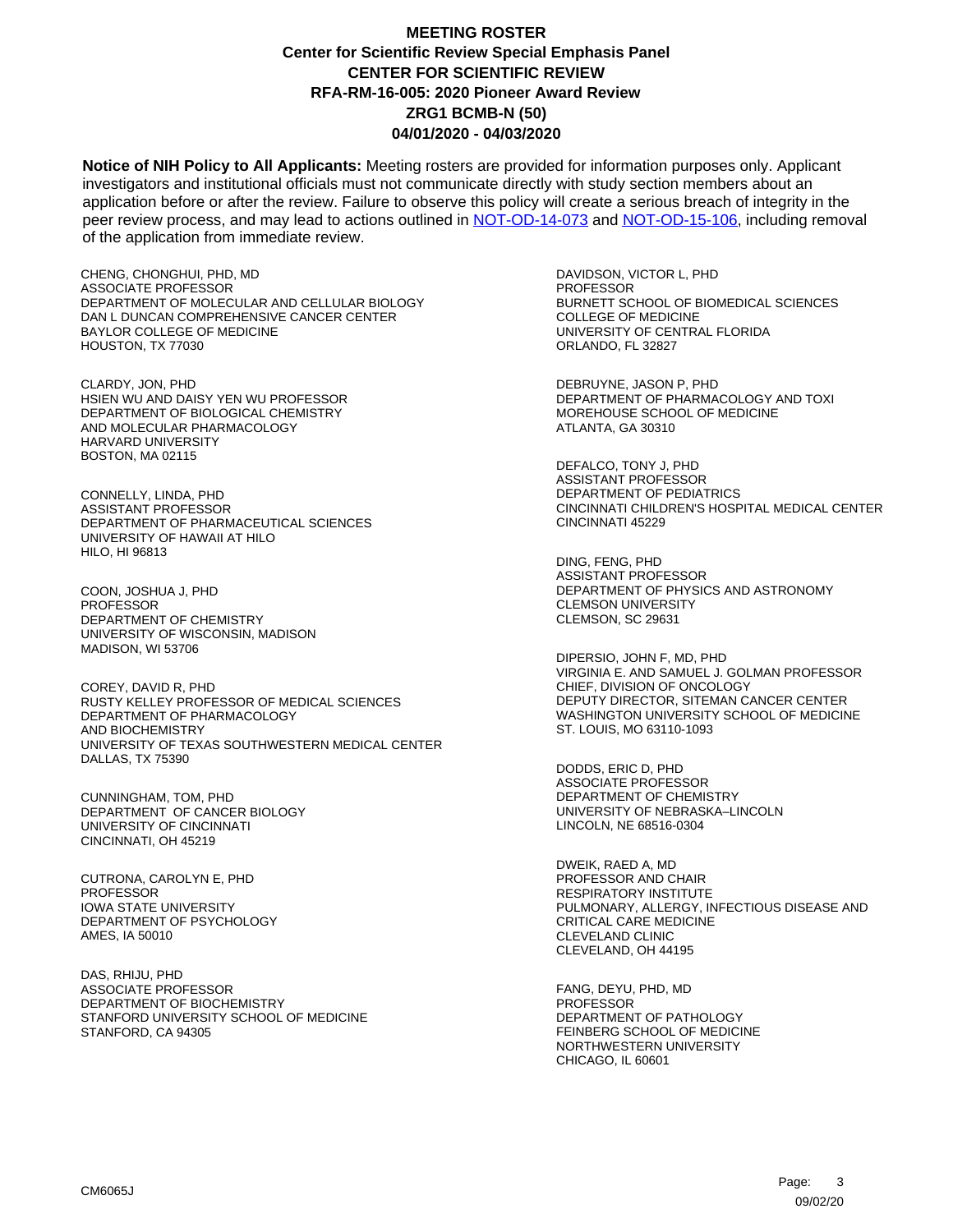**Notice of NIH Policy to All Applicants:** Meeting rosters are provided for information purposes only. Applicant investigators and institutional officials must not communicate directly with study section members about an application before or after the review. Failure to observe this policy will create a serious breach of integrity in the peer review process, and may lead to actions outlined in [NOT-OD-14-073](https://grants.nih.gov/grants/guide/notice-files/NOT-OD-14-073.html) and [NOT-OD-15-106,](https://grants.nih.gov/grants/guide/notice-files/NOT-OD-15-106.html) including removal of the application from immediate review.

CHENG, CHONGHUI, PHD, MD ASSOCIATE PROFESSOR DEPARTMENT OF MOLECULAR AND CELLULAR BIOLOGY DAN L DUNCAN COMPREHENSIVE CANCER CENTER BAYLOR COLLEGE OF MEDICINE HOUSTON, TX 77030

CLARDY, JON, PHD HSIEN WU AND DAISY YEN WU PROFESSOR DEPARTMENT OF BIOLOGICAL CHEMISTRY AND MOLECULAR PHARMACOLOGY HARVARD UNIVERSITY BOSTON, MA 02115

CONNELLY, LINDA, PHD ASSISTANT PROFESSOR DEPARTMENT OF PHARMACEUTICAL SCIENCES UNIVERSITY OF HAWAII AT HILO HILO, HI 96813

COON, JOSHUA J, PHD **PROFESSOR** DEPARTMENT OF CHEMISTRY UNIVERSITY OF WISCONSIN, MADISON MADISON, WI 53706

COREY, DAVID R, PHD RUSTY KELLEY PROFESSOR OF MEDICAL SCIENCES DEPARTMENT OF PHARMACOLOGY AND BIOCHEMISTRY UNIVERSITY OF TEXAS SOUTHWESTERN MEDICAL CENTER DALLAS, TX 75390

CUNNINGHAM, TOM, PHD DEPARTMENT OF CANCER BIOLOGY UNIVERSITY OF CINCINNATI CINCINNATI, OH 45219

CUTRONA, CAROLYN E, PHD **PROFESSOR** IOWA STATE UNIVERSITY DEPARTMENT OF PSYCHOLOGY AMES, IA 50010

DAS, RHIJU, PHD ASSOCIATE PROFESSOR DEPARTMENT OF BIOCHEMISTRY STANFORD UNIVERSITY SCHOOL OF MEDICINE STANFORD, CA 94305

DAVIDSON, VICTOR L, PHD PROFESSOR BURNETT SCHOOL OF BIOMEDICAL SCIENCES COLLEGE OF MEDICINE UNIVERSITY OF CENTRAL FLORIDA ORLANDO, FL 32827

DEBRUYNE, JASON P, PHD DEPARTMENT OF PHARMACOLOGY AND TOXI MOREHOUSE SCHOOL OF MEDICINE ATLANTA, GA 30310

DEFALCO, TONY J, PHD ASSISTANT PROFESSOR DEPARTMENT OF PEDIATRICS CINCINNATI CHILDREN'S HOSPITAL MEDICAL CENTER CINCINNATI 45229

DING, FENG, PHD ASSISTANT PROFESSOR DEPARTMENT OF PHYSICS AND ASTRONOMY CLEMSON UNIVERSITY CLEMSON, SC 29631

DIPERSIO, JOHN F, MD, PHD VIRGINIA E. AND SAMUEL J. GOLMAN PROFESSOR CHIEF, DIVISION OF ONCOLOGY DEPUTY DIRECTOR, SITEMAN CANCER CENTER WASHINGTON UNIVERSITY SCHOOL OF MEDICINE ST. LOUIS, MO 63110-1093

DODDS, ERIC D, PHD ASSOCIATE PROFESSOR DEPARTMENT OF CHEMISTRY UNIVERSITY OF NEBRASKA–LINCOLN LINCOLN, NE 68516-0304

DWEIK, RAED A, MD PROFESSOR AND CHAIR RESPIRATORY INSTITUTE PULMONARY, ALLERGY, INFECTIOUS DISEASE AND CRITICAL CARE MEDICINE CLEVELAND CLINIC CLEVELAND, OH 44195

FANG, DEYU, PHD, MD PROFESSOR DEPARTMENT OF PATHOLOGY FEINBERG SCHOOL OF MEDICINE NORTHWESTERN UNIVERSITY CHICAGO, IL 60601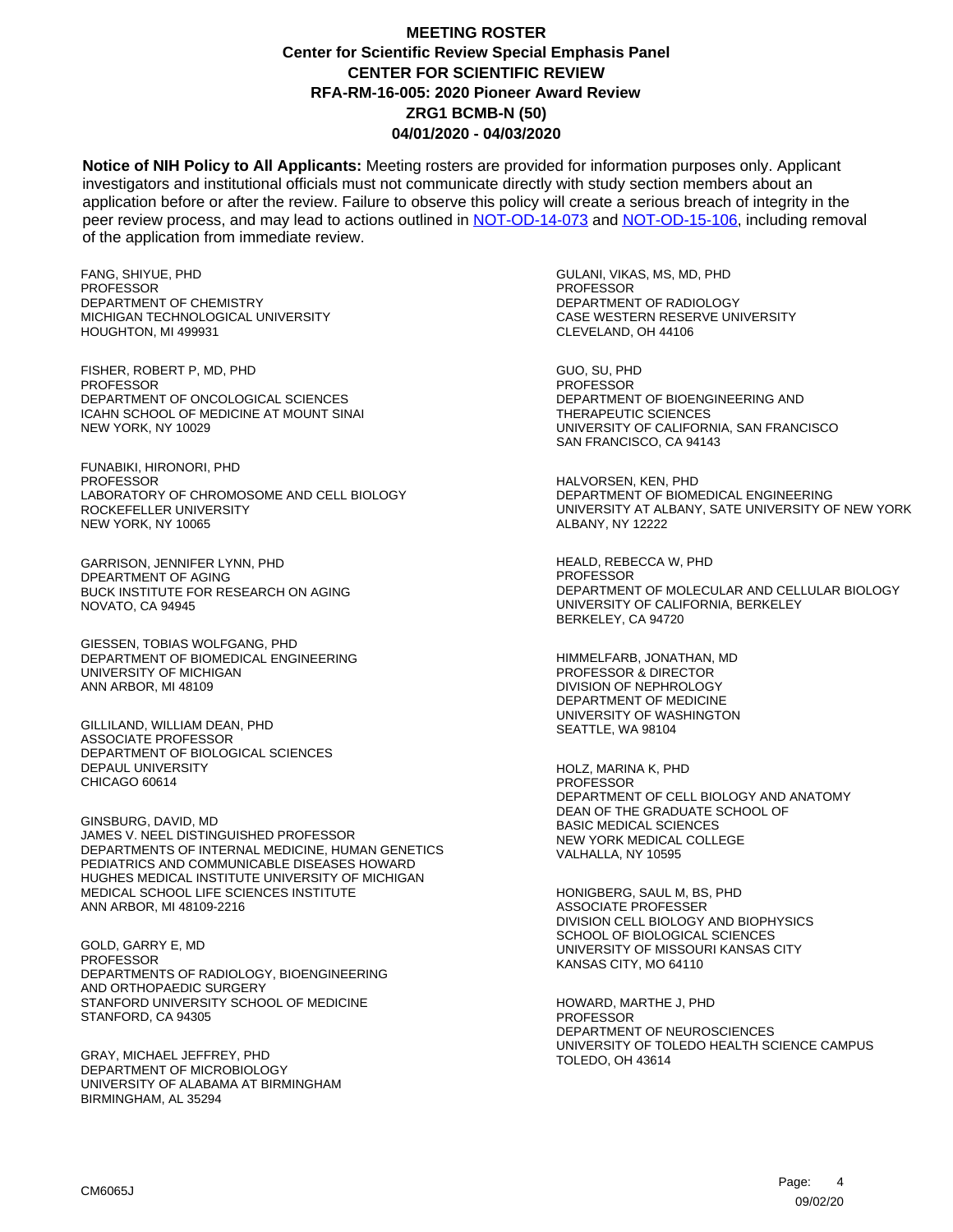**Notice of NIH Policy to All Applicants:** Meeting rosters are provided for information purposes only. Applicant investigators and institutional officials must not communicate directly with study section members about an application before or after the review. Failure to observe this policy will create a serious breach of integrity in the peer review process, and may lead to actions outlined in [NOT-OD-14-073](https://grants.nih.gov/grants/guide/notice-files/NOT-OD-14-073.html) and [NOT-OD-15-106,](https://grants.nih.gov/grants/guide/notice-files/NOT-OD-15-106.html) including removal of the application from immediate review.

FANG, SHIYUE, PHD PROFESSOR DEPARTMENT OF CHEMISTRY MICHIGAN TECHNOLOGICAL UNIVERSITY HOUGHTON, MI 499931

FISHER, ROBERT P, MD, PHD **PROFESSOR** DEPARTMENT OF ONCOLOGICAL SCIENCES ICAHN SCHOOL OF MEDICINE AT MOUNT SINAI NEW YORK, NY 10029

FUNABIKI, HIRONORI, PHD PROFESSOR LABORATORY OF CHROMOSOME AND CELL BIOLOGY ROCKEFELLER UNIVERSITY NEW YORK, NY 10065

GARRISON, JENNIFER LYNN, PHD DPEARTMENT OF AGING BUCK INSTITUTE FOR RESEARCH ON AGING NOVATO, CA 94945

GIESSEN, TOBIAS WOLFGANG, PHD DEPARTMENT OF BIOMEDICAL ENGINEERING UNIVERSITY OF MICHIGAN ANN ARBOR, MI 48109

GILLILAND, WILLIAM DEAN, PHD ASSOCIATE PROFESSOR DEPARTMENT OF BIOLOGICAL SCIENCES DEPAUL UNIVERSITY CHICAGO 60614

GINSBURG, DAVID, MD JAMES V. NEEL DISTINGUISHED PROFESSOR DEPARTMENTS OF INTERNAL MEDICINE, HUMAN GENETICS PEDIATRICS AND COMMUNICABLE DISEASES HOWARD HUGHES MEDICAL INSTITUTE UNIVERSITY OF MICHIGAN MEDICAL SCHOOL LIFE SCIENCES INSTITUTE ANN ARBOR, MI 48109-2216

GOLD, GARRY E, MD PROFESSOR DEPARTMENTS OF RADIOLOGY, BIOENGINEERING AND ORTHOPAEDIC SURGERY STANFORD UNIVERSITY SCHOOL OF MEDICINE STANFORD, CA 94305

GRAY, MICHAEL JEFFREY, PHD DEPARTMENT OF MICROBIOLOGY UNIVERSITY OF ALABAMA AT BIRMINGHAM BIRMINGHAM, AL 35294

GULANI, VIKAS, MS, MD, PHD PROFESSOR DEPARTMENT OF RADIOLOGY CASE WESTERN RESERVE UNIVERSITY CLEVELAND, OH 44106

GUO, SU, PHD PROFESSOR DEPARTMENT OF BIOENGINEERING AND THERAPEUTIC SCIENCES UNIVERSITY OF CALIFORNIA, SAN FRANCISCO SAN FRANCISCO, CA 94143

HALVORSEN, KEN, PHD DEPARTMENT OF BIOMEDICAL ENGINEERING UNIVERSITY AT ALBANY, SATE UNIVERSITY OF NEW YORK ALBANY, NY 12222

HEALD, REBECCA W, PHD PROFESSOR DEPARTMENT OF MOLECULAR AND CELLULAR BIOLOGY UNIVERSITY OF CALIFORNIA, BERKELEY BERKELEY, CA 94720

HIMMELFARB, JONATHAN, MD PROFESSOR & DIRECTOR DIVISION OF NEPHROLOGY DEPARTMENT OF MEDICINE UNIVERSITY OF WASHINGTON SEATTLE, WA 98104

HOLZ, MARINA K, PHD PROFESSOR DEPARTMENT OF CELL BIOLOGY AND ANATOMY DEAN OF THE GRADUATE SCHOOL OF BASIC MEDICAL SCIENCES NEW YORK MEDICAL COLLEGE VALHALLA, NY 10595

HONIGBERG, SAUL M, BS, PHD ASSOCIATE PROFESSER DIVISION CELL BIOLOGY AND BIOPHYSICS SCHOOL OF BIOLOGICAL SCIENCES UNIVERSITY OF MISSOURI KANSAS CITY KANSAS CITY, MO 64110

HOWARD, MARTHE J, PHD PROFESSOR DEPARTMENT OF NEUROSCIENCES UNIVERSITY OF TOLEDO HEALTH SCIENCE CAMPUS TOLEDO, OH 43614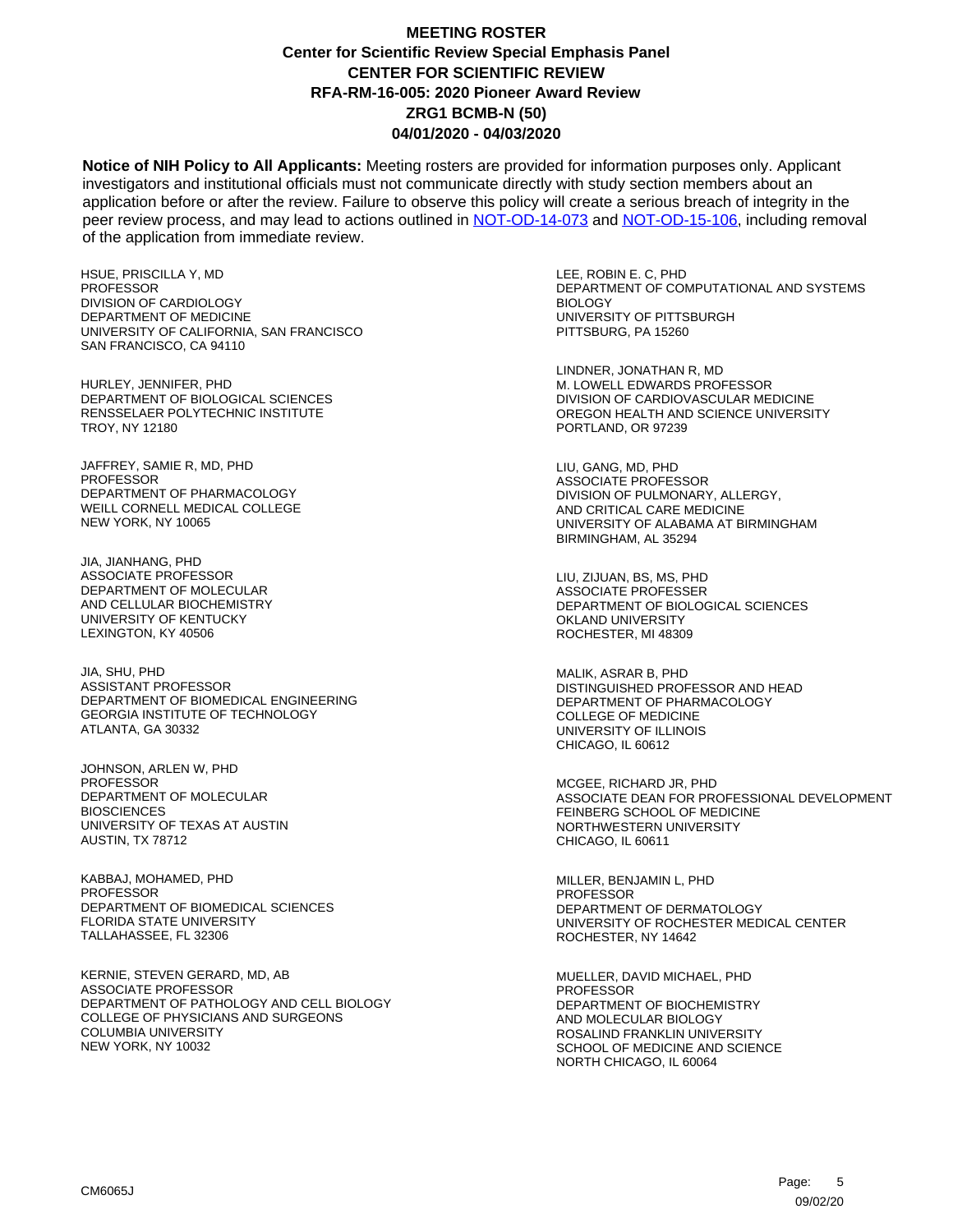**Notice of NIH Policy to All Applicants:** Meeting rosters are provided for information purposes only. Applicant investigators and institutional officials must not communicate directly with study section members about an application before or after the review. Failure to observe this policy will create a serious breach of integrity in the peer review process, and may lead to actions outlined in [NOT-OD-14-073](https://grants.nih.gov/grants/guide/notice-files/NOT-OD-14-073.html) and [NOT-OD-15-106,](https://grants.nih.gov/grants/guide/notice-files/NOT-OD-15-106.html) including removal of the application from immediate review.

HSUE, PRISCILLA Y, MD PROFESSOR DIVISION OF CARDIOLOGY DEPARTMENT OF MEDICINE UNIVERSITY OF CALIFORNIA, SAN FRANCISCO SAN FRANCISCO, CA 94110

HURLEY, JENNIFER, PHD DEPARTMENT OF BIOLOGICAL SCIENCES RENSSELAER POLYTECHNIC INSTITUTE TROY, NY 12180

JAFFREY, SAMIE R, MD, PHD PROFESSOR DEPARTMENT OF PHARMACOLOGY WEILL CORNELL MEDICAL COLLEGE NEW YORK, NY 10065

JIA, JIANHANG, PHD ASSOCIATE PROFESSOR DEPARTMENT OF MOLECULAR AND CELLULAR BIOCHEMISTRY UNIVERSITY OF KENTUCKY LEXINGTON, KY 40506

JIA, SHU, PHD ASSISTANT PROFESSOR DEPARTMENT OF BIOMEDICAL ENGINEERING GEORGIA INSTITUTE OF TECHNOLOGY ATLANTA, GA 30332

JOHNSON, ARLEN W, PHD **PROFESSOR** DEPARTMENT OF MOLECULAR **BIOSCIENCES** UNIVERSITY OF TEXAS AT AUSTIN AUSTIN, TX 78712

KABBAJ, MOHAMED, PHD **PROFESSOR** DEPARTMENT OF BIOMEDICAL SCIENCES FLORIDA STATE UNIVERSITY TALLAHASSEE, FL 32306

KERNIE, STEVEN GERARD, MD, AB ASSOCIATE PROFESSOR DEPARTMENT OF PATHOLOGY AND CELL BIOLOGY COLLEGE OF PHYSICIANS AND SURGEONS COLUMBIA UNIVERSITY NEW YORK, NY 10032

LEE, ROBIN E. C, PHD DEPARTMENT OF COMPUTATIONAL AND SYSTEMS BIOLOGY UNIVERSITY OF PITTSBURGH PITTSBURG, PA 15260

LINDNER, JONATHAN R, MD M. LOWELL EDWARDS PROFESSOR DIVISION OF CARDIOVASCULAR MEDICINE OREGON HEALTH AND SCIENCE UNIVERSITY PORTLAND, OR 97239

LIU, GANG, MD, PHD ASSOCIATE PROFESSOR DIVISION OF PULMONARY, ALLERGY, AND CRITICAL CARE MEDICINE UNIVERSITY OF ALABAMA AT BIRMINGHAM BIRMINGHAM, AL 35294

LIU, ZIJUAN, BS, MS, PHD ASSOCIATE PROFESSER DEPARTMENT OF BIOLOGICAL SCIENCES OKLAND UNIVERSITY ROCHESTER, MI 48309

MALIK, ASRAR B, PHD DISTINGUISHED PROFESSOR AND HEAD DEPARTMENT OF PHARMACOLOGY COLLEGE OF MEDICINE UNIVERSITY OF ILLINOIS CHICAGO, IL 60612

MCGEE, RICHARD JR, PHD ASSOCIATE DEAN FOR PROFESSIONAL DEVELOPMENT FEINBERG SCHOOL OF MEDICINE NORTHWESTERN UNIVERSITY CHICAGO, IL 60611

MILLER, BENJAMIN L, PHD PROFESSOR DEPARTMENT OF DERMATOLOGY UNIVERSITY OF ROCHESTER MEDICAL CENTER ROCHESTER, NY 14642

MUELLER, DAVID MICHAEL, PHD PROFESSOR DEPARTMENT OF BIOCHEMISTRY AND MOLECULAR BIOLOGY ROSALIND FRANKLIN UNIVERSITY SCHOOL OF MEDICINE AND SCIENCE NORTH CHICAGO, IL 60064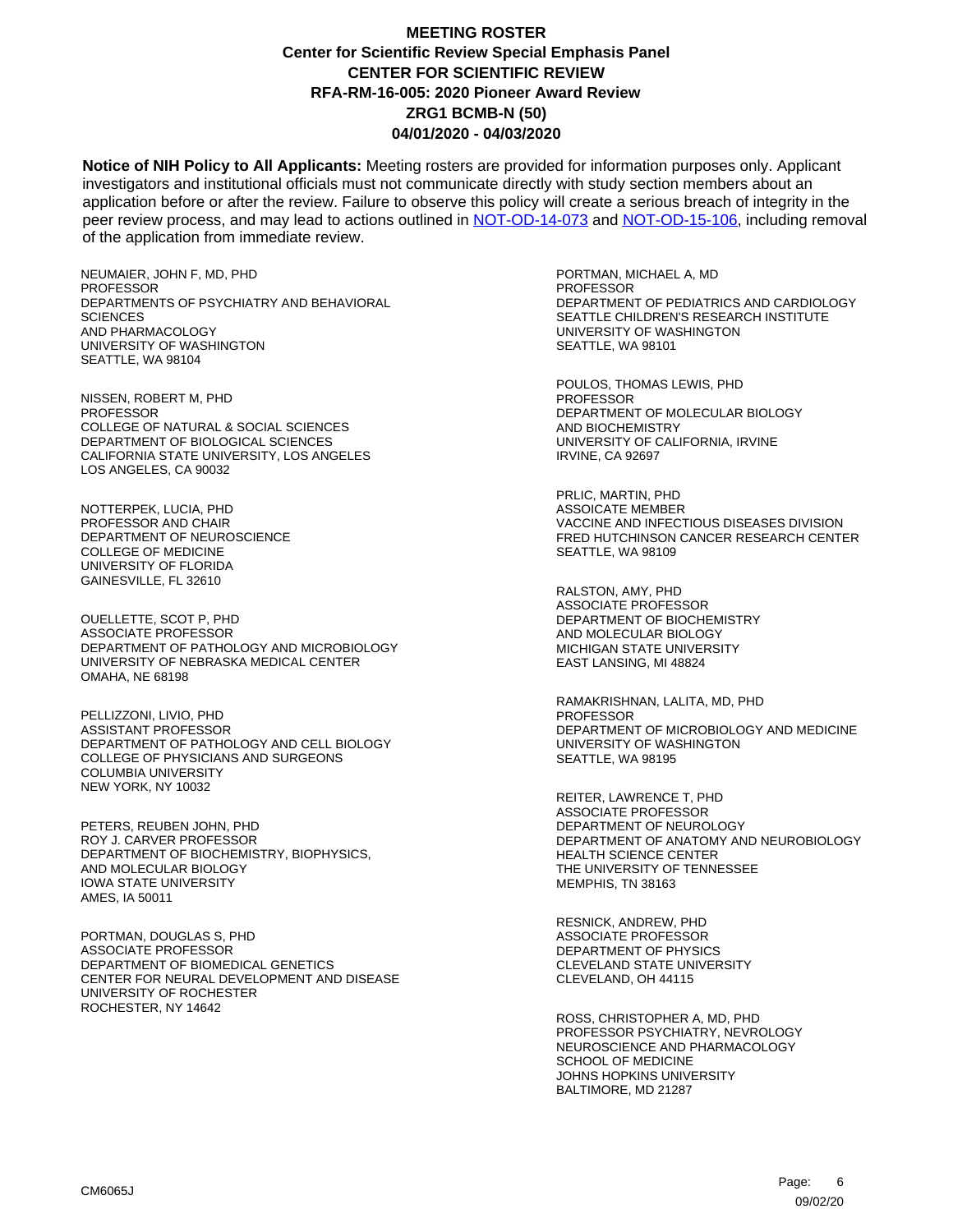**Notice of NIH Policy to All Applicants:** Meeting rosters are provided for information purposes only. Applicant investigators and institutional officials must not communicate directly with study section members about an application before or after the review. Failure to observe this policy will create a serious breach of integrity in the peer review process, and may lead to actions outlined in [NOT-OD-14-073](https://grants.nih.gov/grants/guide/notice-files/NOT-OD-14-073.html) and [NOT-OD-15-106,](https://grants.nih.gov/grants/guide/notice-files/NOT-OD-15-106.html) including removal of the application from immediate review.

NEUMAIER, JOHN F, MD, PHD PROFESSOR DEPARTMENTS OF PSYCHIATRY AND BEHAVIORAL **SCIENCES** AND PHARMACOLOGY UNIVERSITY OF WASHINGTON SEATTLE, WA 98104

NISSEN, ROBERT M, PHD **PROFESSOR** COLLEGE OF NATURAL & SOCIAL SCIENCES DEPARTMENT OF BIOLOGICAL SCIENCES CALIFORNIA STATE UNIVERSITY, LOS ANGELES LOS ANGELES, CA 90032

NOTTERPEK, LUCIA, PHD PROFESSOR AND CHAIR DEPARTMENT OF NEUROSCIENCE COLLEGE OF MEDICINE UNIVERSITY OF FLORIDA GAINESVILLE, FL 32610

OUELLETTE, SCOT P, PHD ASSOCIATE PROFESSOR DEPARTMENT OF PATHOLOGY AND MICROBIOLOGY UNIVERSITY OF NEBRASKA MEDICAL CENTER OMAHA, NE 68198

PELLIZZONI, LIVIO, PHD ASSISTANT PROFESSOR DEPARTMENT OF PATHOLOGY AND CELL BIOLOGY COLLEGE OF PHYSICIANS AND SURGEONS COLUMBIA UNIVERSITY NEW YORK, NY 10032

PETERS, REUBEN JOHN, PHD ROY J. CARVER PROFESSOR DEPARTMENT OF BIOCHEMISTRY, BIOPHYSICS, AND MOLECULAR BIOLOGY IOWA STATE UNIVERSITY AMES, IA 50011

PORTMAN, DOUGLAS S, PHD ASSOCIATE PROFESSOR DEPARTMENT OF BIOMEDICAL GENETICS CENTER FOR NEURAL DEVELOPMENT AND DISEASE UNIVERSITY OF ROCHESTER ROCHESTER, NY 14642

PORTMAN, MICHAEL A, MD PROFESSOR DEPARTMENT OF PEDIATRICS AND CARDIOLOGY SEATTLE CHILDREN'S RESEARCH INSTITUTE UNIVERSITY OF WASHINGTON SEATTLE, WA 98101

POULOS, THOMAS LEWIS, PHD **PROFESSOR** DEPARTMENT OF MOLECULAR BIOLOGY AND BIOCHEMISTRY UNIVERSITY OF CALIFORNIA, IRVINE IRVINE, CA 92697

PRLIC, MARTIN, PHD ASSOICATE MEMBER VACCINE AND INFECTIOUS DISEASES DIVISION FRED HUTCHINSON CANCER RESEARCH CENTER SEATTLE, WA 98109

RALSTON, AMY, PHD ASSOCIATE PROFESSOR DEPARTMENT OF BIOCHEMISTRY AND MOLECULAR BIOLOGY MICHIGAN STATE UNIVERSITY EAST LANSING, MI 48824

RAMAKRISHNAN, LALITA, MD, PHD PROFESSOR DEPARTMENT OF MICROBIOLOGY AND MEDICINE UNIVERSITY OF WASHINGTON SEATTLE, WA 98195

REITER, LAWRENCE T, PHD ASSOCIATE PROFESSOR DEPARTMENT OF NEUROLOGY DEPARTMENT OF ANATOMY AND NEUROBIOLOGY HEALTH SCIENCE CENTER THE UNIVERSITY OF TENNESSEE MEMPHIS, TN 38163

RESNICK, ANDREW, PHD ASSOCIATE PROFESSOR DEPARTMENT OF PHYSICS CLEVELAND STATE UNIVERSITY CLEVELAND, OH 44115

ROSS, CHRISTOPHER A, MD, PHD PROFESSOR PSYCHIATRY, NEVROLOGY NEUROSCIENCE AND PHARMACOLOGY SCHOOL OF MEDICINE JOHNS HOPKINS UNIVERSITY BALTIMORE, MD 21287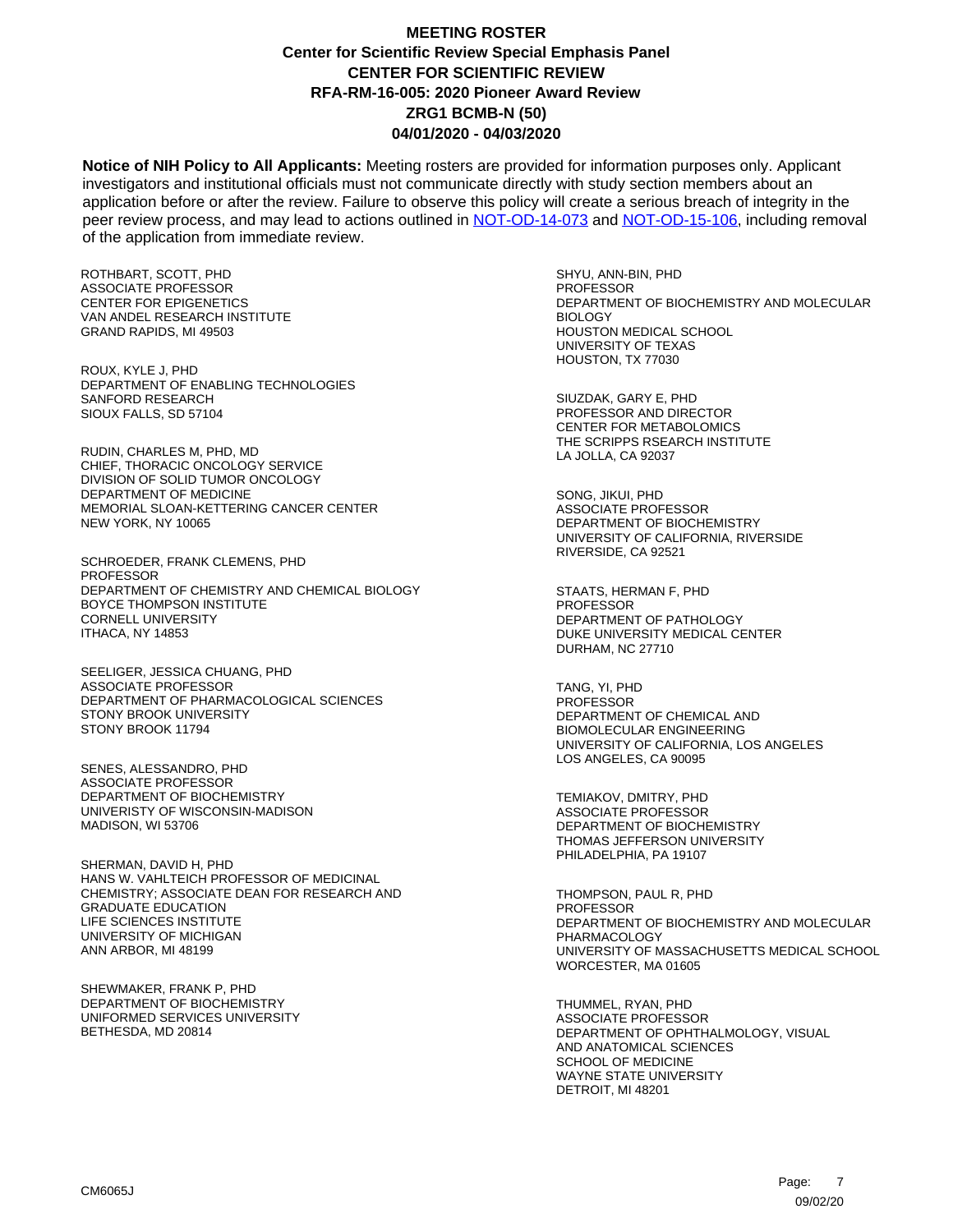**Notice of NIH Policy to All Applicants:** Meeting rosters are provided for information purposes only. Applicant investigators and institutional officials must not communicate directly with study section members about an application before or after the review. Failure to observe this policy will create a serious breach of integrity in the peer review process, and may lead to actions outlined in [NOT-OD-14-073](https://grants.nih.gov/grants/guide/notice-files/NOT-OD-14-073.html) and [NOT-OD-15-106,](https://grants.nih.gov/grants/guide/notice-files/NOT-OD-15-106.html) including removal of the application from immediate review.

ROTHBART, SCOTT, PHD ASSOCIATE PROFESSOR CENTER FOR EPIGENETICS VAN ANDEL RESEARCH INSTITUTE GRAND RAPIDS, MI 49503

ROUX, KYLE J, PHD DEPARTMENT OF ENABLING TECHNOLOGIES SANFORD RESEARCH SIOUX FALLS, SD 57104

RUDIN, CHARLES M, PHD, MD CHIEF, THORACIC ONCOLOGY SERVICE DIVISION OF SOLID TUMOR ONCOLOGY DEPARTMENT OF MEDICINE MEMORIAL SLOAN-KETTERING CANCER CENTER NEW YORK, NY 10065

SCHROEDER, FRANK CLEMENS, PHD PROFESSOR DEPARTMENT OF CHEMISTRY AND CHEMICAL BIOLOGY BOYCE THOMPSON INSTITUTE CORNELL UNIVERSITY ITHACA, NY 14853

SEELIGER, JESSICA CHUANG, PHD ASSOCIATE PROFESSOR DEPARTMENT OF PHARMACOLOGICAL SCIENCES STONY BROOK UNIVERSITY STONY BROOK 11794

SENES, ALESSANDRO, PHD ASSOCIATE PROFESSOR DEPARTMENT OF BIOCHEMISTRY UNIVERISTY OF WISCONSIN-MADISON MADISON, WI 53706

SHERMAN, DAVID H, PHD HANS W. VAHLTEICH PROFESSOR OF MEDICINAL CHEMISTRY; ASSOCIATE DEAN FOR RESEARCH AND GRADUATE EDUCATION LIFE SCIENCES INSTITUTE UNIVERSITY OF MICHIGAN ANN ARBOR, MI 48199

SHEWMAKER, FRANK P, PHD DEPARTMENT OF BIOCHEMISTRY UNIFORMED SERVICES UNIVERSITY BETHESDA, MD 20814

SHYU, ANN-BIN, PHD PROFESSOR DEPARTMENT OF BIOCHEMISTRY AND MOLECULAR BIOLOGY HOUSTON MEDICAL SCHOOL UNIVERSITY OF TEXAS HOUSTON, TX 77030

SIUZDAK, GARY E, PHD PROFESSOR AND DIRECTOR CENTER FOR METABOLOMICS THE SCRIPPS RSEARCH INSTITUTE LA JOLLA, CA 92037

SONG, JIKUI, PHD ASSOCIATE PROFESSOR DEPARTMENT OF BIOCHEMISTRY UNIVERSITY OF CALIFORNIA, RIVERSIDE RIVERSIDE, CA 92521

STAATS, HERMAN F, PHD **PROFESSOR** DEPARTMENT OF PATHOLOGY DUKE UNIVERSITY MEDICAL CENTER DURHAM, NC 27710

TANG, YI, PHD PROFESSOR DEPARTMENT OF CHEMICAL AND BIOMOLECULAR ENGINEERING UNIVERSITY OF CALIFORNIA, LOS ANGELES LOS ANGELES, CA 90095

TEMIAKOV, DMITRY, PHD ASSOCIATE PROFESSOR DEPARTMENT OF BIOCHEMISTRY THOMAS JEFFERSON UNIVERSITY PHILADELPHIA, PA 19107

THOMPSON, PAUL R, PHD PROFESSOR DEPARTMENT OF BIOCHEMISTRY AND MOLECULAR PHARMACOLOGY UNIVERSITY OF MASSACHUSETTS MEDICAL SCHOOL WORCESTER, MA 01605

THUMMEL, RYAN, PHD ASSOCIATE PROFESSOR DEPARTMENT OF OPHTHALMOLOGY, VISUAL AND ANATOMICAL SCIENCES SCHOOL OF MEDICINE WAYNE STATE UNIVERSITY DETROIT, MI 48201